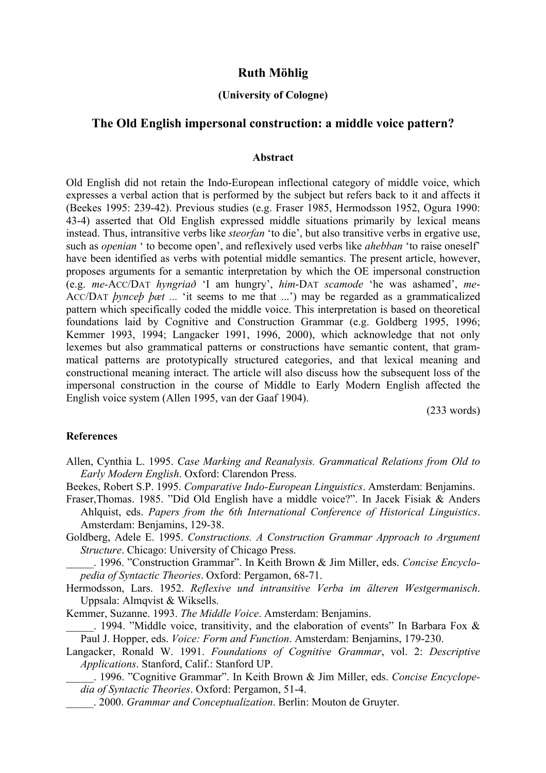# **Ruth Möhlig**

## **(University of Cologne)**

## **The Old English impersonal construction: a middle voice pattern?**

#### **Abstract**

Old English did not retain the Indo-European inflectional category of middle voice, which expresses a verbal action that is performed by the subject but refers back to it and affects it (Beekes 1995: 239-42). Previous studies (e.g. Fraser 1985, Hermodsson 1952, Ogura 1990: 43-4) asserted that Old English expressed middle situations primarily by lexical means instead. Thus, intransitive verbs like *steorfan* 'to die', but also transitive verbs in ergative use, such as *openian* ' to become open', and reflexively used verbs like *ahebban* 'to raise oneself' have been identified as verbs with potential middle semantics. The present article, however, proposes arguments for a semantic interpretation by which the OE impersonal construction (e.g. *me-*ACC/DAT *hyngriað* 'I am hungry', *him*-DAT *scamode* 'he was ashamed', *me*-ACC/DAT *þynceþ þæt ...* 'it seems to me that ...') may be regarded as a grammaticalized pattern which specifically coded the middle voice. This interpretation is based on theoretical foundations laid by Cognitive and Construction Grammar (e.g. Goldberg 1995, 1996; Kemmer 1993, 1994; Langacker 1991, 1996, 2000), which acknowledge that not only lexemes but also grammatical patterns or constructions have semantic content, that grammatical patterns are prototypically structured categories, and that lexical meaning and constructional meaning interact. The article will also discuss how the subsequent loss of the impersonal construction in the course of Middle to Early Modern English affected the English voice system (Allen 1995, van der Gaaf 1904).

(233 words)

### **References**

Allen, Cynthia L. 1995. *Case Marking and Reanalysis. Grammatical Relations from Old to Early Modern English*. Oxford: Clarendon Press.

Beekes, Robert S.P. 1995. *Comparative Indo-European Linguistics*. Amsterdam: Benjamins.

Fraser,Thomas. 1985. "Did Old English have a middle voice?". In Jacek Fisiak & Anders Ahlquist, eds. *Papers from the 6th International Conference of Historical Linguistics*. Amsterdam: Benjamins, 129-38.

Goldberg, Adele E. 1995. *Constructions. A Construction Grammar Approach to Argument Structure*. Chicago: University of Chicago Press.

\_\_\_\_\_. 1996. "Construction Grammar". In Keith Brown & Jim Miller, eds. *Concise Encyclopedia of Syntactic Theories*. Oxford: Pergamon, 68-71.

Hermodsson, Lars. 1952. *Reflexive und intransitive Verba im älteren Westgermanisch*. Uppsala: Almqvist & Wiksells.

Kemmer, Suzanne. 1993. *The Middle Voice*. Amsterdam: Benjamins.

. 1994. "Middle voice, transitivity, and the elaboration of events" In Barbara Fox & Paul J. Hopper, eds. *Voice: Form and Function*. Amsterdam: Benjamins, 179-230.

Langacker, Ronald W. 1991. *Foundations of Cognitive Grammar*, vol. 2: *Descriptive Applications*. Stanford, Calif.: Stanford UP.

\_\_\_\_\_. 1996. "Cognitive Grammar". In Keith Brown & Jim Miller, eds. *Concise Encyclopedia of Syntactic Theories*. Oxford: Pergamon, 51-4.

\_\_\_\_\_. 2000. *Grammar and Conceptualization*. Berlin: Mouton de Gruyter.